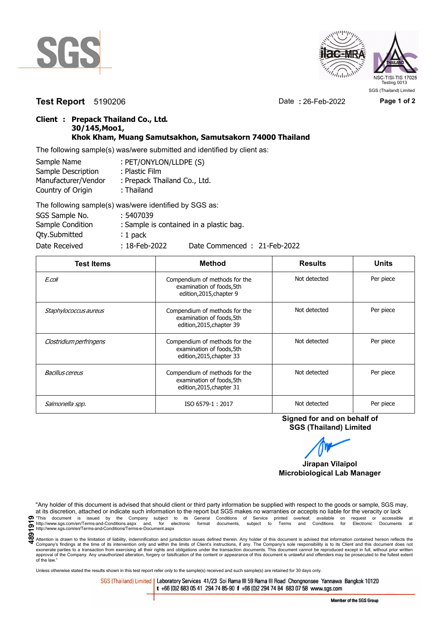



**Test Report** 5190206 Date **:** 26-Feb-2022 **Page 1 of 2**

## **Client : Prepack Thailand Co., Ltd. 30/145,Moo1, Khok Kham, Muang Samutsakhon, Samutsakorn 74000 Thailand**

The following sample(s) was/were submitted and identified by client as:

| Sample Name         | : PET/ONYLON/LLDPE (S)       |
|---------------------|------------------------------|
| Sample Description  | : Plastic Film               |
| Manufacturer/Vendor | : Prepack Thailand Co., Ltd. |
| Country of Origin   | : Thailand                   |
|                     | TIPULI III III III AAA       |

| The following sample(s) was/were identified by SGS as: |                  |                                         |
|--------------------------------------------------------|------------------|-----------------------------------------|
| SGS Sample No.                                         | : 5407039        |                                         |
| Sample Condition                                       |                  | : Sample is contained in a plastic bag. |
| Qty.Submitted                                          | $: 1$ pack       |                                         |
| Date Received                                          | $: 18$ -Feb-2022 | Date Commenced: 21-Feb-2022             |

| <b>Test Items</b>       | <b>Method</b>                                                                           | <b>Results</b> | <b>Units</b> |
|-------------------------|-----------------------------------------------------------------------------------------|----------------|--------------|
| E.coli                  | Compendium of methods for the<br>examination of foods, 5th<br>edition, 2015, chapter 9  | Not detected   | Per piece    |
| Staphylococcus aureus   | Compendium of methods for the<br>examination of foods, 5th<br>edition, 2015, chapter 39 | Not detected   | Per piece    |
| Clostridium perfringens | Compendium of methods for the<br>examination of foods, 5th<br>edition, 2015, chapter 33 | Not detected   | Per piece    |
| Bacillus cereus         | Compendium of methods for the<br>examination of foods, 5th<br>edition, 2015, chapter 31 | Not detected   | Per piece    |
| Salmonella spp.         | ISO 6579-1:2017                                                                         | Not detected   | Per piece    |

**Signed for and on behalf of SGS (Thailand) Limited**



"Any holder of this document is advised that should client or third party information be supplied with respect to the goods or sample, SGS may, at its discretion, attached or indicate such information to the report but SGS makes no warranties or accepts no liable for the veracity or lack This document is issued by the Company subject to its General Conditions of Service printed overleaf, available on request or accessible at the entropy.//www.sgs.com/en/Terms-and-Conditions.aspx and, for electronic format

Attention is drawn to the limitation of liability, indemnification and jurisdiction issues defined therein. Any holder of this document is advised that information contained hereon reflects the Company's findings at the time of its intervention only and within the limits of Client's instructions, if any. The Company's sole responsibility is to its Client and this document does not<br>exonerate parties to a transacti approval of the Company. Any unauthorized alteration, forgery or falsification of the content or appearance of this document is unlawful and offenders may be prosecuted to the fullest extent approval of the Company. Any un of the law."

Unless otherwise stated the results shown in this test report refer only to the sample(s) received and such sample(s) are retained for 30 days only.

SGS (Thailand) Limited | Laboratory Services 41/23 Soi Rama III 59 Rama III Road Chongnonsee Yannawa Bangkok 10120 t +66 (0)2 683 05 41 294 74 85-90 f +66 (0)2 294 74 84 683 07 58 www.sgs.com